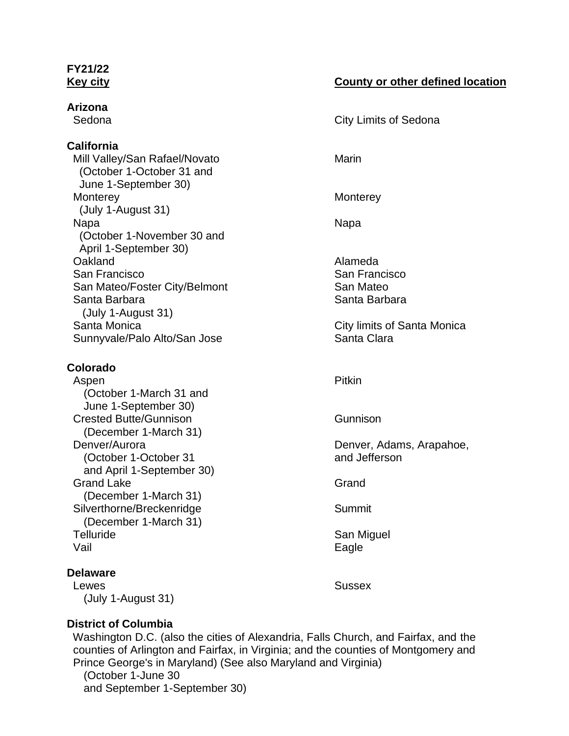# **FY21/22**

**Arizona**

#### **California**

Mill Valley/San Rafael/Novato Marin (October 1-October 31 and June 1-September 30) Monterey Monterey (July 1-August 31) Napa Napa (October 1-November 30 and April 1-September 30) Oakland Alameda San Francisco **San Francisco** San Francisco San Mateo/Foster City/Belmont San Mateo Santa Barbara **Santa Barbara** Santa Barbara (July 1-August 31) Santa Monica City limits of Santa Monica Sunnyvale/Palo Alto/San Jose Sunnyvale/Palo Alto/San Jose

#### **Colorado**

Aspen Pitkin and the Community of the Pitkin Pitkin (October 1-March 31 and June 1-September 30) Crested Butte/Gunnison Gunnison (December 1-March 31) Denver/Aurora **Denver, Adams, Arapahoe,** (October 1-October 31 and Jefferson) and April 1-September 30) Grand Lake Grand Controller Controller Controller Controller Controller Controller Controller Controller Controller (December 1-March 31) Silverthorne/Breckenridge Silverthorne/Breckenridge (December 1-March 31) Telluride **San Miguel** San Miguel Vail **Eagle** 

### **Delaware**

Lewes **Sussex** (July 1-August 31)

#### **Key city County or other defined location**

Sedona **City Limits of Sedona** 

### **District of Columbia**

Washington D.C. (also the cities of Alexandria, Falls Church, and Fairfax, and the counties of Arlington and Fairfax, in Virginia; and the counties of Montgomery and Prince George's in Maryland) (See also Maryland and Virginia) (October 1-June 30

and September 1-September 30)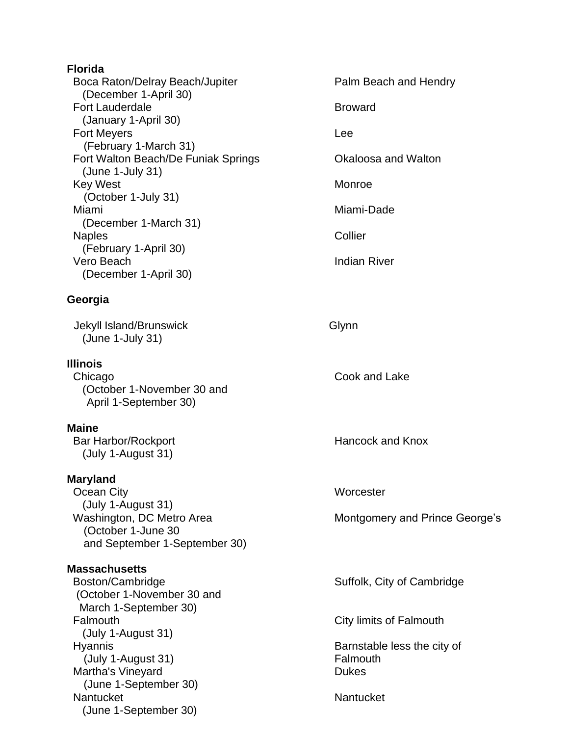| <b>Florida</b>                                        |                       |
|-------------------------------------------------------|-----------------------|
| Boca Raton/Delray Beach/Jupiter                       | Palm Beach and Hendry |
| (December 1-April 30)<br><b>Fort Lauderdale</b>       | <b>Broward</b>        |
| (January 1-April 30)                                  |                       |
| <b>Fort Meyers</b>                                    | Lee                   |
| (February 1-March 31)                                 |                       |
| Fort Walton Beach/De Funiak Springs                   | Okaloosa and Walton   |
| $(June 1-July 31)$<br><b>Key West</b>                 | Monroe                |
| (October 1-July 31)<br>Miami<br>(December 1-March 31) |                       |
|                                                       | Miami-Dade            |
|                                                       |                       |
| <b>Naples</b><br>(February 1-April 30)                | Collier               |
| Vero Beach                                            | <b>Indian River</b>   |
| (December 1-April 30)                                 |                       |
| Georgia                                               |                       |
| Jekyll Island/Brunswick<br>(June 1-July 31)           | Glynn                 |
|                                                       |                       |

#### **Illinois** Chicago Cook and Lake (October 1-November 30 and April 1-September 30)

#### **Maine** Bar Harbor/Rockport **Hancock** and Knox (July 1-August 31)

#### **Maryland**

Ocean City **Worcester** (July 1-August 31)<br>Washington, DC Metro Area (October 1-June 30 and September 1-September 30)

**Massachusetts** (October 1-November 30 and March 1-September 30) Falmouth City limits of Falmouth (July 1-August 31) Hyannis Barnstable less the city of (July 1-August 31) Falmouth Martha's Vineyard **Dukes** Dukes (June 1-September 30) Nantucket Nantucket Nantucket (June 1-September 30)

Montgomery and Prince George's

Suffolk, City of Cambridge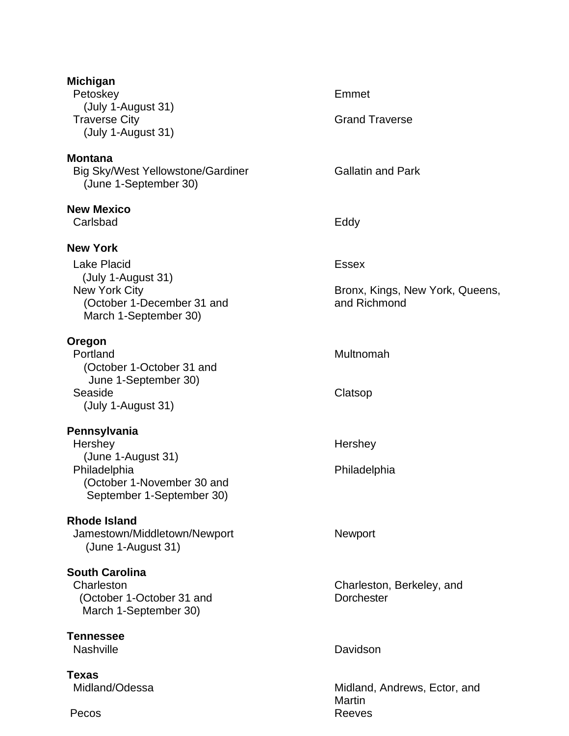| <b>Michigan</b><br>Petoskey<br>(July 1-August 31)<br><b>Traverse City</b><br>(July 1-August 31)                                            | Emmet<br><b>Grand Traverse</b>                                  |
|--------------------------------------------------------------------------------------------------------------------------------------------|-----------------------------------------------------------------|
| <b>Montana</b><br><b>Big Sky/West Yellowstone/Gardiner</b><br>(June 1-September 30)                                                        | <b>Gallatin and Park</b>                                        |
| <b>New Mexico</b><br>Carlsbad                                                                                                              | Eddy                                                            |
| <b>New York</b><br><b>Lake Placid</b><br>(July 1-August 31)<br><b>New York City</b><br>(October 1-December 31 and<br>March 1-September 30) | <b>Essex</b><br>Bronx, Kings, New York, Queens,<br>and Richmond |
| Oregon<br>Portland<br>(October 1-October 31 and<br>June 1-September 30)<br>Seaside<br>(July 1-August 31)                                   | Multnomah<br>Clatsop                                            |
| Pennsylvania<br>Hershey<br>(June 1-August 31)<br>Philadelphia<br>(October 1-November 30 and<br>September 1-September 30)                   | Hershey<br>Philadelphia                                         |
| <b>Rhode Island</b><br>Jamestown/Middletown/Newport<br>(June 1-August 31)                                                                  | Newport                                                         |
| <b>South Carolina</b><br>Charleston<br>(October 1-October 31 and<br>March 1-September 30)                                                  | Charleston, Berkeley, and<br><b>Dorchester</b>                  |
| <b>Tennessee</b><br><b>Nashville</b>                                                                                                       | Davidson                                                        |
| <b>Texas</b><br>Midland/Odessa<br>Pecos                                                                                                    | Midland, Andrews, Ector, and<br><b>Martin</b><br><b>Reeves</b>  |